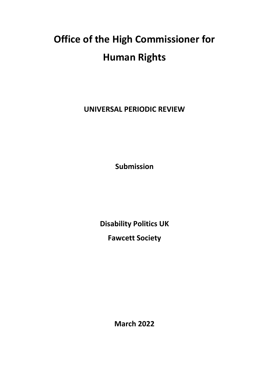# **Office of the High Commissioner for Human Rights**

**UNIVERSAL PERIODIC REVIEW**

**Submission**

**Disability Politics UK**

**Fawcett Society**

**March 2022**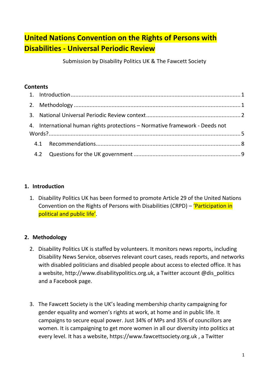# **United Nations Convention on the Rights of Persons with Disabilities - Universal Periodic Review**

Submission by Disability Politics UK & The Fawcett Society

# **Contents**

| 4. International human rights protections - Normative framework - Deeds not |  |
|-----------------------------------------------------------------------------|--|
|                                                                             |  |
|                                                                             |  |

# <span id="page-1-0"></span>**1. Introduction**

1. Disability Politics UK has been formed to promote Article 29 of the United Nations Convention on the Rights of Persons with Disabilities (CRPD) – 'Participation in political and public life'.

# <span id="page-1-1"></span>**2. Methodology**

- 2. Disability Politics UK is staffed by volunteers. It monitors news reports, including Disability News Service, observes relevant court cases, reads reports, and networks with disabled politicians and disabled people about access to elected office. It has a website, http://www.disabilitypolitics.org.uk, a Twitter account @dis\_politics and a Facebook page.
- 3. The Fawcett Society is the [UK's leading membership charity](https://www.fawcettsociety.org.uk/membership) campaigning for gender equality and women's rights at work, at home and in public life. It campaigns to secure equal power. Just 34% of MPs and 35% of councillors are women. It is campaigning to get more women in all our diversity into politics at every level. It has a website, https://www.fawcettsociety.org.uk , a Twitter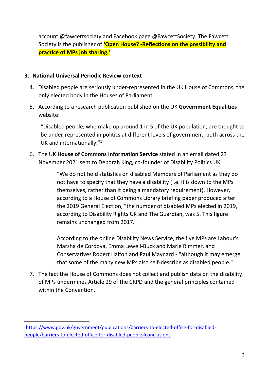account @fawcettsociety and Facebook page @FawcettSociety. The Fawcett Society is the publisher of **'Open House? -Reflections on the possibility and practice of MPs job sharing.'**

# <span id="page-2-0"></span>**3. National Universal Periodic Review context**

- 4. Disabled people are seriously under-represented in the UK House of Commons, the only elected body in the Houses of Parliament.
- 5. According to a research publication published on the UK **Government Equalities** website:

"Disabled people, who make up around 1 in 5 of the UK population, are thought to be under-represented in politics at different levels of government, both across the UK and internationally."<sup>1</sup>

6. The UK **House of Commons Information Service** stated in an email dated 23 November 2021 sent to Deborah King, co-founder of Disability Politics UK:

> "We do not hold statistics on disabled Members of Parliament as they do not have to specify that they have a disability (i.e. it is down to the MPs themselves, rather than it being a mandatory requirement). However, according to a House of Commons Library briefing paper produced after the 2019 General Election, "the number of disabled MPs elected in 2019, according to Disability Rights UK and The Guardian, was 5. This figure remains unchanged from 2017."

According to the online Disability News Service, the five MPs are Labour's Marsha de Cordova, Emma Lewell-Buck and Marie Rimmer, and Conservatives Robert Halfon and Paul Maynard - "although it may emerge that some of the many new MPs also self-describe as disabled people."

7. The fact the House of Commons does not collect and publish data on the disability of MPs undermines Article 29 of the CRPD and the general principles contained within the Convention.

<sup>1</sup>[https://www.gov.uk/government/publications/barriers-to-elected-office-for-disabled](https://www.gov.uk/government/publications/barriers-to-elected-office-for-disabled-people/barriers-to-elected-office-for-disabled-people#conclusions)[people/barriers-to-elected-office-for-disabled-people#conclusions](https://www.gov.uk/government/publications/barriers-to-elected-office-for-disabled-people/barriers-to-elected-office-for-disabled-people#conclusions)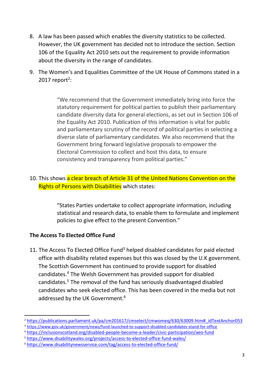- 8. A law has been passed which enables the diversity statistics to be collected. However, the UK government has decided not to introduce the section. Section 106 of the Equality Act 2010 sets out the requirement to provide information about the diversity in the range of candidates.
- 9. The Women's and Equalities Committee of the UK House of Commons stated in a  $2017$  report<sup>2</sup>:

"We recommend that the Government immediately bring into force the statutory requirement for political parties to publish their parliamentary candidate diversity data for general elections, as set out in Section 106 of the Equality Act 2010. Publication of this information is vital for public and parliamentary scrutiny of the record of political parties in selecting a diverse slate of parliamentary candidates. We also recommend that the Government bring forward legislative proposals to empower the Electoral Commission to collect and host this data, to ensure consistency and transparency from political parties."

# 10. This shows a clear breach of Article 31 of the United Nations Convention on the **Rights of Persons with Disabilities which states:**

"States Parties undertake to collect appropriate information, including statistical and research data, to enable them to formulate and implement policies to give effect to the present Convention."

# **The Access To Elected Office Fund**

11. The Access To Elected Office Fund<sup>3</sup> helped disabled candidates for paid elected office with disability related expenses but this was closed by the U.K government. The Scottish Government has continued to provide support for disabled candidates.<sup>4</sup> The Welsh Government has provided support for disabled candidates.<sup>5</sup> The removal of the fund has seriously disadvantaged disabled candidates who seek elected office. This has been covered in the media but not addressed by the UK Government.<sup>6</sup>

<sup>&</sup>lt;sup>2</sup> [https://publications.parliament.uk/pa/cm201617/cmselect/cmwomeq/630/63009.htm#\\_idTextAnchor053](https://publications.parliament.uk/pa/cm201617/cmselect/cmwomeq/630/63009.htm#_idTextAnchor053)

<sup>3</sup> <https://www.gov.uk/government/news/fund-launched-to-support-disabled-candidates-stand-for-office>

<sup>4</sup> <https://inclusionscotland.org/disabled-people-become-a-leader/civic-participation/aeo-fund>

<sup>5</sup> <https://www.disabilitywales.org/projects/access-to-elected-office-fund-wales/>

<sup>6</sup> <https://www.disabilitynewsservice.com/tag/access-to-elected-office-fund/>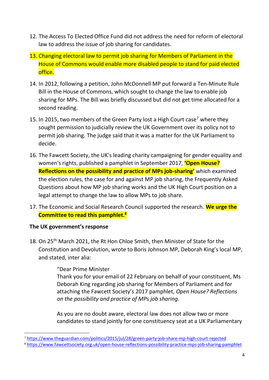- 12. The Access To Elected Office Fund did not address the need for reform of electoral law to address the issue of job sharing for candidates.
- 13. Changing electoral law to permit job sharing for Members of Parliament in the House of Commons would enable more disabled people to stand for paid elected office.
- 14. In 2012, following a petition, John McDonnell MP put forward a Ten-Minute Rule Bill in the House of Commons, which sought to change the law to enable job sharing for MPs. The Bill was briefly discussed but did not get time allocated for a second reading.
- 15. In 2015, two members of the Green Party lost a High Court case<sup>7</sup> where they sought permission to judicially review the UK Government over its policy not to permit job sharing. The judge said that it was a matter for the UK Parliament to decide.
- 16. The Fawcett Society, the UK's leading charity campaigning for gender equality and women's rights, published a pamphlet in September 2017, **'Open House? Reflections on the possibility and practice of MPs job-sharing'** which examined the election rules, the case for and against MP job sharing, the Frequently Asked Questions about how MP job sharing works and the UK High Court position on a legal attempt to change the law to allow MPs to job share.
- 17. The Economic and Social Research Council supported the research. **We urge the Committee to read this pamphlet. 8**

# **The UK government's response**

18. On 25<sup>th</sup> March 2021, the Rt Hon Chloe Smith, then Minister of State for the Constitution and Devolution, wrote to Boris Johnson MP, Deborah King's local MP, and stated, inter alia:

> "Dear Prime Minister Thank you for your email of 22 February on behalf of your constituent, Ms Deborah King regarding job sharing for Members of Parliament and for attaching the Fawcett Society's 2017 pamphlet, *Open House? Reflections on the possibility and practice of MPs job sharing.*

> As you are no doubt aware, electoral law does not allow two or more candidates to stand jointly for one constituency seat at a UK Parliamentary

<sup>7</sup> <https://www.theguardian.com/politics/2015/jul/28/green-party-job-share-mp-high-court-rejected>

<sup>8</sup> <https://www.fawcettsociety.org.uk/open-house-reflections-possibility-practice-mps-job-sharing-pamphlet>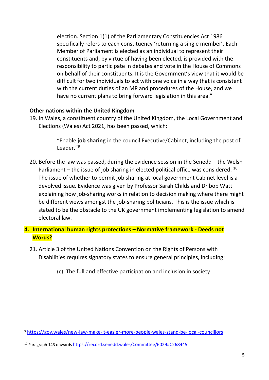election. Section 1(1) of the Parliamentary Constituencies Act 1986 specifically refers to each constituency 'returning a single member'. Each Member of Parliament is elected as an individual to represent their constituents and, by virtue of having been elected, is provided with the responsibility to participate in debates and vote in the House of Commons on behalf of their constituents. It is the Government's view that it would be difficult for two individuals to act with one voice in a way that is consistent with the current duties of an MP and procedures of the House, and we have no current plans to bring forward legislation in this area."

# **Other nations within the United Kingdom**

19. In Wales, a constituent country of the United Kingdom, the Local Government and Elections (Wales) Act 2021, has been passed, which:

> "Enable **job sharing** in the council Executive/Cabinet, including the post of Leader."<sup>9</sup>

- 20. Before the law was passed, during the evidence session in the Senedd the Welsh Parliament – the issue of job sharing in elected political office was considered.  $10$ The issue of whether to permit job sharing at local government Cabinet level is a devolved issue. Evidence was given by Professor Sarah Childs and Dr bob Watt explaining how job-sharing works in relation to decision making where there might be different views amongst the job-sharing politicians. This is the issue which is stated to be the obstacle to the UK government implementing legislation to amend electoral law.
- <span id="page-5-0"></span>**4. International human rights protections – Normative framework - Deeds not Words?**
	- 21. Article 3 of the United Nations Convention on the Rights of Persons with Disabilities requires signatory states to ensure general principles, including:
		- (c) The full and effective participation and inclusion in society

<sup>9</sup> <https://gov.wales/new-law-make-it-easier-more-people-wales-stand-be-local-councillors>

<sup>10</sup> Paragraph 143 onwards <https://record.senedd.wales/Committee/6029#C268445>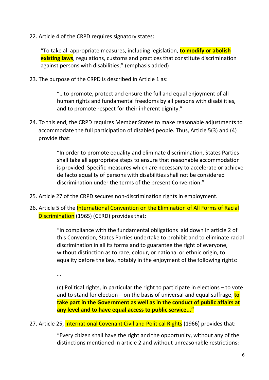22. Article 4 of the CRPD requires signatory states:

"To take all appropriate measures, including legislation, **to modify or abolish existing laws**, regulations, customs and practices that constitute discrimination against persons with disabilities;" (emphasis added)

23. The purpose of the CRPD is described in Article 1 as:

"…to promote, protect and ensure the full and equal enjoyment of all human rights and fundamental freedoms by all persons with disabilities, and to promote respect for their inherent dignity."

24. To this end, the CRPD requires Member States to make reasonable adjustments to accommodate the full participation of disabled people. Thus, Article 5(3) and (4) provide that:

> "In order to promote equality and eliminate discrimination, States Parties shall take all appropriate steps to ensure that reasonable accommodation is provided. Specific measures which are necessary to accelerate or achieve de facto equality of persons with disabilities shall not be considered discrimination under the terms of the present Convention."

- 25. Article 27 of the CRPD secures non-discrimination rights in employment.
- 26. Article 5 of the International Convention on the Elimination of All Forms of Racial Discrimination (1965) (CERD) provides that:

"In compliance with the fundamental obligations laid down in article 2 of this Convention, States Parties undertake to prohibit and to eliminate racial discrimination in all its forms and to guarantee the right of everyone, without distinction as to race, colour, or national or ethnic origin, to equality before the law, notably in the enjoyment of the following rights:

…

(c) Political rights, in particular the right to participate in elections – to vote and to stand for election – on the basis of universal and equal suffrage, **to take part in the Government as well as in the conduct of public affairs at any level and to have equal access to public service..."**

27. Article 25, International Covenant Civil and Political Rights (1966) provides that:

"Every citizen shall have the right and the opportunity, without any of the distinctions mentioned in article 2 and without unreasonable restrictions: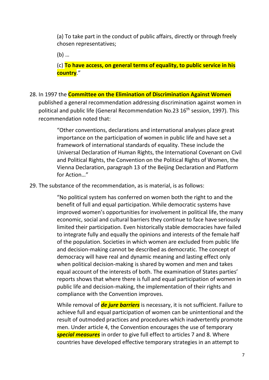(a) To take part in the conduct of public affairs, directly or through freely chosen representatives;

(b) …

(c) **To have access, on general terms of equality, to public service in his country**."

28. In 1997 the **Committee on the Elimination of Discrimination Against Women**

published a general recommendation addressing discrimination against women in political and public life (General Recommendation No.23 16<sup>th</sup> session, 1997). This recommendation noted that:

"Other conventions, declarations and international analyses place great importance on the participation of women in public life and have set a framework of international standards of equality. These include the Universal Declaration of Human Rights, the International Covenant on Civil and Political Rights, the Convention on the Political Rights of Women, the Vienna Declaration, paragraph 13 of the Beijing Declaration and Platform for Action…"

29. The substance of the recommendation, as is material, is as follows:

"No political system has conferred on women both the right to and the benefit of full and equal participation. While democratic systems have improved women's opportunities for involvement in political life, the many economic, social and cultural barriers they continue to face have seriously limited their participation. Even historically stable democracies have failed to integrate fully and equally the opinions and interests of the female half of the population. Societies in which women are excluded from public life and decision-making cannot be described as democratic. The concept of democracy will have real and dynamic meaning and lasting effect only when political decision-making is shared by women and men and takes equal account of the interests of both. The examination of States parties' reports shows that where there is full and equal participation of women in public life and decision-making, the implementation of their rights and compliance with the Convention improves.

While removal of *de jure barriers* is necessary, it is not sufficient. Failure to achieve full and equal participation of women can be unintentional and the result of outmoded practices and procedures which inadvertently promote men. Under article 4, the Convention encourages the use of temporary *special measures* in order to give full effect to articles 7 and 8. Where countries have developed effective temporary strategies in an attempt to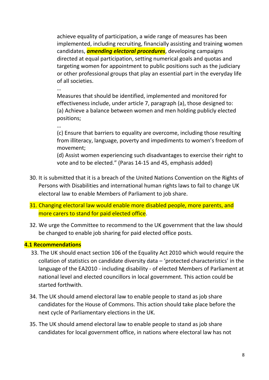achieve equality of participation, a wide range of measures has been implemented, including recruiting, financially assisting and training women candidates, *amending electoral procedures*, developing campaigns directed at equal participation, setting numerical goals and quotas and targeting women for appointment to public positions such as the judiciary or other professional groups that play an essential part in the everyday life of all societies.

…

Measures that should be identified, implemented and monitored for effectiveness include, under article 7, paragraph (a), those designed to: (a) Achieve a balance between women and men holding publicly elected positions;

…

(c) Ensure that barriers to equality are overcome, including those resulting from illiteracy, language, poverty and impediments to women's freedom of movement;

(d) Assist women experiencing such disadvantages to exercise their right to vote and to be elected." (Paras 14-15 and 45, emphasis added)

- 30. It is submitted that it is a breach of the United Nations Convention on the Rights of Persons with Disabilities and international human rights laws to fail to change UK electoral law to enable Members of Parliament to job share.
- 31. Changing electoral law would enable more disabled people, more parents, and more carers to stand for paid elected office.
- 32. We urge the Committee to recommend to the UK government that the law should be changed to enable job sharing for paid elected office posts.

# <span id="page-8-0"></span>**4.1 Recommendations**

- 33. The UK should enact section 106 of the Equality Act 2010 which would require the collation of statistics on candidate diversity data – 'protected characteristics' in the language of the EA2010 - including disability - of elected Members of Parliament at national level and elected councillors in local government. This action could be started forthwith.
- 34. The UK should amend electoral law to enable people to stand as job share candidates for the House of Commons. This action should take place before the next cycle of Parliamentary elections in the UK.
- 35. The UK should amend electoral law to enable people to stand as job share candidates for local government office, in nations where electoral law has not